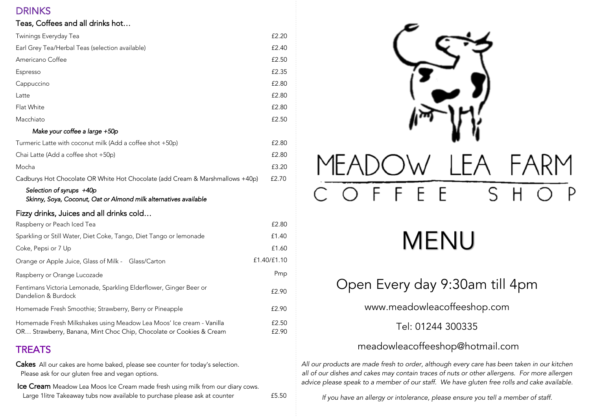## **DRINKS**

#### Teas, Coffees and all drinks hot…

| Twinings Everyday Tea                                                                                                                       | £2.20          |
|---------------------------------------------------------------------------------------------------------------------------------------------|----------------|
| Earl Grey Tea/Herbal Teas (selection available)                                                                                             | £2.40          |
| Americano Coffee                                                                                                                            | £2.50          |
| Espresso                                                                                                                                    | £2.35          |
| Cappuccino                                                                                                                                  | £2.80          |
| Latte                                                                                                                                       | £2.80          |
| Flat White                                                                                                                                  | £2.80          |
| Macchiato                                                                                                                                   | £2.50          |
| Make your coffee a large +50p                                                                                                               |                |
| Turmeric Latte with coconut milk (Add a coffee shot +50p)                                                                                   | £2.80          |
| Chai Latte (Add a coffee shot +50p)                                                                                                         | £2.80          |
| Mocha                                                                                                                                       | £3.20          |
| Cadburys Hot Chocolate OR White Hot Chocolate (add Cream & Marshmallows +40p)                                                               | £2.70          |
| Selection of syrups +40p<br>Skinny, Soya, Coconut, Oat or Almond milk alternatives available                                                |                |
| Fizzy drinks, Juices and all drinks cold                                                                                                    |                |
| Raspberry or Peach Iced Tea                                                                                                                 | £2.80          |
| Sparkling or Still Water, Diet Coke, Tango, Diet Tango or lemonade                                                                          | £1.40          |
| Coke, Pepsi or 7 Up                                                                                                                         | £1.60          |
| Orange or Apple Juice, Glass of Milk - Glass/Carton                                                                                         | £1.40/£1.10    |
| Raspberry or Orange Lucozade                                                                                                                | Pmp            |
| Fentimans Victoria Lemonade, Sparkling Elderflower, Ginger Beer or<br>Dandelion & Burdock                                                   | £2.90          |
| Homemade Fresh Smoothie; Strawberry, Berry or Pineapple                                                                                     | £2.90          |
| Homemade Fresh Milkshakes using Meadow Lea Moos' Ice cream - Vanilla<br>OR Strawberry, Banana, Mint Choc Chip, Chocolate or Cookies & Cream | £2.50<br>£2.90 |

# **TREATS**

Cakes All our cakes are home baked, please see counter for today's selection. Please ask for our gluten free and vegan options.

Ice Cream Meadow Lea Moos Ice Cream made fresh using milk from our diary cows. Large 1litre Takeaway tubs now available to purchase please ask at counter **£5.50** 



# MENU

# Open Every day 9:30am till 4pm

www.meadowleacoffeeshop.com

# Tel: 01244 300335

# meadowleacoffeeshop@hotmail.com

*All our products are made fresh to order, although every care has been taken in our kitchen all of our dishes and cakes may contain traces of nuts or other allergens. For more allergen advice please speak to a member of our staff. We have gluten free rolls and cake available.*

*If you have an allergy or intolerance, please ensure you tell a member of staff.*